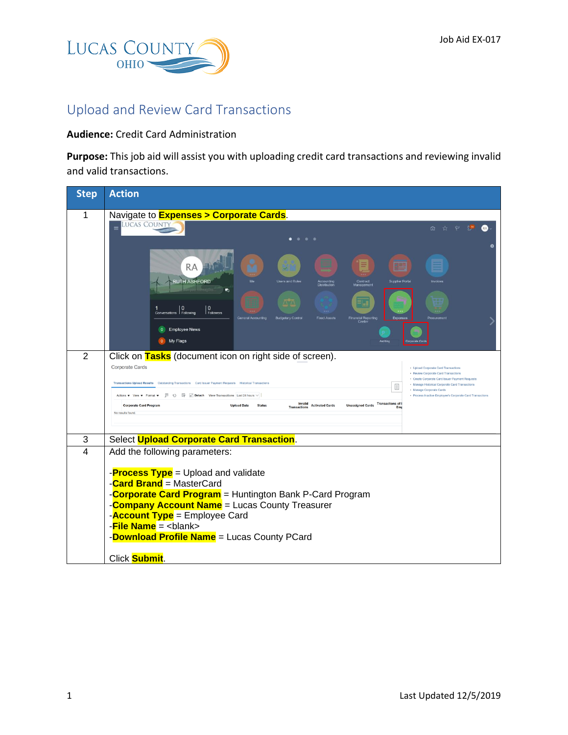

## Upload and Review Card Transactions

## **Audience:** Credit Card Administration

**Purpose:** This job aid will assist you with uploading credit card transactions and reviewing invalid and valid transactions.

| <b>Step</b>    | <b>Action</b>                                                                                                                                                                                                                                                                                                                                                                                                            |
|----------------|--------------------------------------------------------------------------------------------------------------------------------------------------------------------------------------------------------------------------------------------------------------------------------------------------------------------------------------------------------------------------------------------------------------------------|
| 1              | Navigate to <b>Expenses &gt; Corporate Cards</b> .<br><b>LUCAS COUNTY</b><br>$\equiv$<br>☆ ₽<br>û.<br>膠<br>$^{\circ}$<br>٠                                                                                                                                                                                                                                                                                               |
|                | <b>RA</b><br><b>RUTH ASHFORD</b><br><b>Users and Roles</b><br>Contract<br><b>Supplier Portal</b><br>v.<br>$\mathbf{0}$<br>$\Omega$<br>Conversations Following<br>Followers<br><b>General Accounting</b><br><b>Budgetary Control</b><br><b>Fixed Assets</b><br>Financial Reporting<br>Center<br>Expenses<br>Procuremen<br><b>Employee News</b><br>$\overline{0}$<br>My Flags                                              |
| $\overline{2}$ | Click on Tasks (document icon on right side of screen).<br><b>Corporate Cards</b><br>• Upload Corporate Card Transactions<br>· Review Corporate Card Transactions<br>· Create Corporate Card Issuer Payment Requests<br>Transactions Upload Results  Outstanding Transactions  Card Issuer Payment Requests  Historical Transactions<br>• Manage Historical Corporate Card Transactions<br>目<br>· Manage Corporate Cards |
|                | Actions ▼ View ▼ Format ▼ H ① H Detach View Transactions Last 24 hours $\vee$<br>· Process Inactive Employee's Corporate Card Transactions<br>Invalid<br>Unassigned Cards Transactions of I<br><b>Corporate Card Program</b><br><b>Upload Date</b><br><b>Status</b><br><b>Activated Cards</b><br><b>Transactions</b><br>No results found.                                                                                |
| 3              | Select Upload Corporate Card Transaction.                                                                                                                                                                                                                                                                                                                                                                                |
| $\overline{4}$ | Add the following parameters:<br>- <b>Process Type</b> = Upload and validate<br>-Card Brand = MasterCard<br>-Corporate Card Program = Huntington Bank P-Card Program<br>-Company Account Name = Lucas County Treasurer<br>- <b>Account Type</b> = Employee Card<br>-File Name = <blank><br/>-Download Profile Name = Lucas County PCard<br/>Click <b>Submit</b>.</blank>                                                 |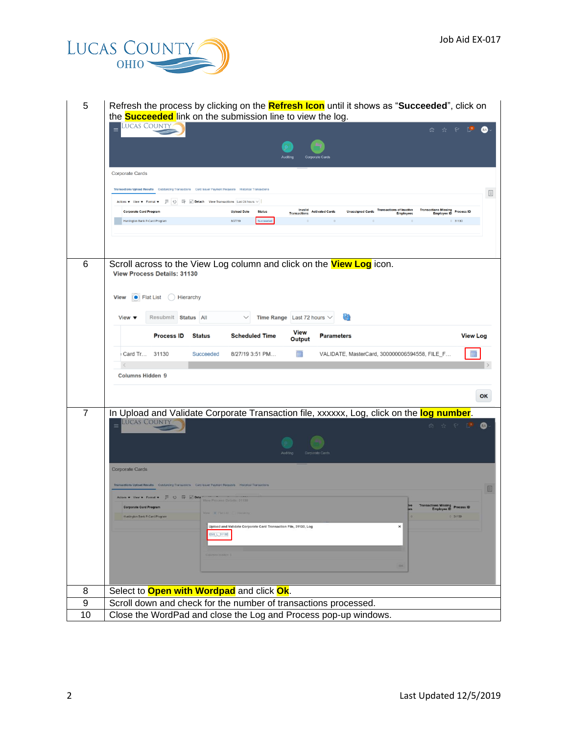

5 Refresh the process by clicking on the **Refresh Icon** until it shows as "**Succeeded**", click on the **Succeeded** link on the submission line to view the log.

|                  | Lucas County<br>☆ P L®<br>$\equiv$                                                                                                                                                                                                                   |
|------------------|------------------------------------------------------------------------------------------------------------------------------------------------------------------------------------------------------------------------------------------------------|
|                  |                                                                                                                                                                                                                                                      |
|                  |                                                                                                                                                                                                                                                      |
|                  | Corporate Cards                                                                                                                                                                                                                                      |
|                  | Transactions Upload Results  Outstanding Transactions  Card Issuer Payment Requests  Historical Transactions                                                                                                                                         |
|                  | 圓<br>Actions ▼ View ▼ Format ▼ 四 〇 『 国 Detach View Transactions Last 24 hours $\vee$                                                                                                                                                                 |
|                  | <b>Invalid</b> Activated Cards<br>Unassigned Cards Transactions of Inactive<br>Transactions Missing<br>Employee ID<br>Employee ID<br><b>Corporate Card Program</b><br><b>Upload Date</b><br><b>Status</b><br><b>Transactions</b><br><b>Employees</b> |
|                  | Succeeded<br>Huntington Bank P-Card Program<br>8/27/19<br>0.31130<br>$\overline{0}$<br>$\Omega$                                                                                                                                                      |
|                  |                                                                                                                                                                                                                                                      |
|                  |                                                                                                                                                                                                                                                      |
| 6                | Scroll across to the View Log column and click on the <b>View Log</b> icon.                                                                                                                                                                          |
|                  | <b>View Process Details: 31130</b>                                                                                                                                                                                                                   |
|                  | Flat List ( Hierarchy<br><b>View</b>                                                                                                                                                                                                                 |
|                  |                                                                                                                                                                                                                                                      |
|                  | (49<br>Resubmit Status All<br>Time Range Last 72 hours $\vee$<br>View $\blacktriangledown$                                                                                                                                                           |
|                  | View<br><b>Process ID</b><br><b>Scheduled Time</b><br><b>Status</b><br><b>Parameters</b><br><b>View Log</b><br>Output                                                                                                                                |
|                  |                                                                                                                                                                                                                                                      |
|                  | o<br>Card Tr 31130<br>8/27/19 3:51 PM<br>VALIDATE, MasterCard, 300000006594558, FILE_F<br>Succeeded                                                                                                                                                  |
|                  | <b>Columns Hidden 9</b>                                                                                                                                                                                                                              |
|                  |                                                                                                                                                                                                                                                      |
|                  | OK                                                                                                                                                                                                                                                   |
| 7                | In Upload and Validate Corporate Transaction file, xxxxxx, Log, click on the log number.<br><b>LUCAS COUNTY</b>                                                                                                                                      |
|                  | 面☆やり<br>$\boldsymbol{\omega}$                                                                                                                                                                                                                        |
|                  |                                                                                                                                                                                                                                                      |
|                  | Corporate Car                                                                                                                                                                                                                                        |
|                  | <b>Corporate Cards</b>                                                                                                                                                                                                                               |
|                  | E                                                                                                                                                                                                                                                    |
|                  | Actions v View v Format v ( C) E Deta *<br><b>View Process Details: 31130</b>                                                                                                                                                                        |
|                  | <b>Transactions Missing</b><br><b>Corporate Card Program</b><br>Process ID<br><b>Employee ID</b><br><b>B</b> FBILSI                                                                                                                                  |
|                  | Huntington Bank P-Card Program<br>31130<br>Upload and Validate Corporate Card Transaction File, 31130, Log<br>$\pmb{\times}$                                                                                                                         |
|                  | ESS L 31130                                                                                                                                                                                                                                          |
|                  |                                                                                                                                                                                                                                                      |
|                  |                                                                                                                                                                                                                                                      |
|                  |                                                                                                                                                                                                                                                      |
| 8                | Select to <b>Open with Wordpad</b> and click Ok.                                                                                                                                                                                                     |
|                  |                                                                                                                                                                                                                                                      |
| $\boldsymbol{9}$ | Scroll down and check for the number of transactions processed.                                                                                                                                                                                      |